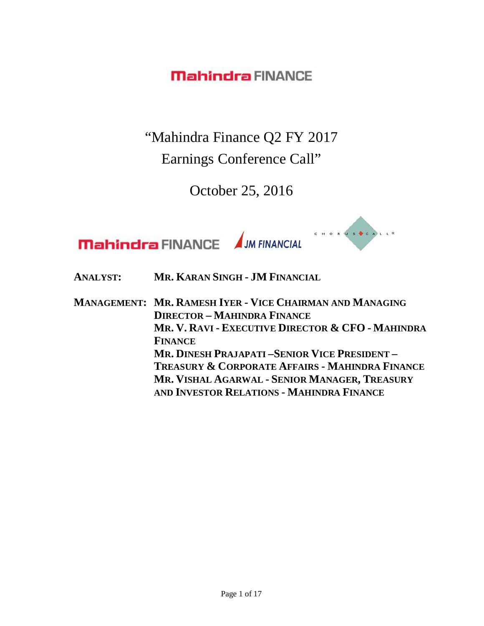"Mahindra Finance Q2 FY 2017 Earnings Conference Call"

October 25, 2016



**ANALYST: MR. KARAN SINGH - JM FINANCIAL**

**MANAGEMENT: MR. RAMESH IYER - VICE CHAIRMAN AND MANAGING DIRECTOR – MAHINDRA FINANCE MR. V. RAVI - EXECUTIVE DIRECTOR & CFO - MAHINDRA FINANCE MR. DINESH PRAJAPATI –SENIOR VICE PRESIDENT – TREASURY & CORPORATE AFFAIRS - MAHINDRA FINANCE MR. VISHAL AGARWAL - SENIOR MANAGER, TREASURY AND INVESTOR RELATIONS - MAHINDRA FINANCE**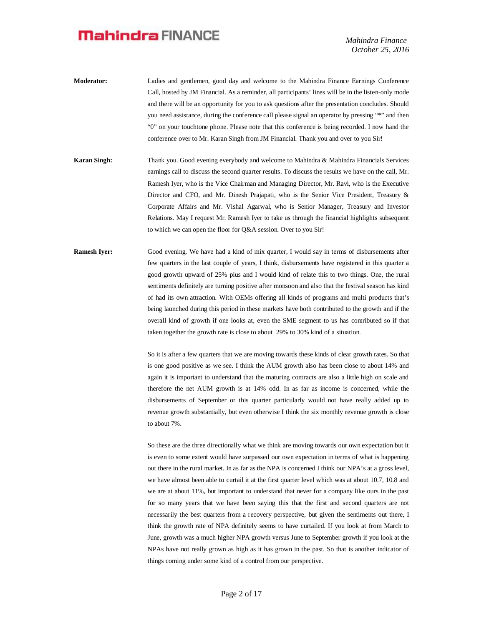*Mahindra Finance October 25, 2016*

- **Moderator:** Ladies and gentlemen, good day and welcome to the Mahindra Finance Earnings Conference Call, hosted by JM Financial. As a reminder, all participants' lines will be in the listen-only mode and there will be an opportunity for you to ask questions after the presentation concludes. Should you need assistance, during the conference call please signal an operator by pressing "\*" and then "0" on your touchtone phone. Please note that this conference is being recorded. I now hand the conference over to Mr. Karan Singh from JM Financial. Thank you and over to you Sir!
- **Karan Singh:** Thank you. Good evening everybody and welcome to Mahindra & Mahindra Financials Services earnings call to discuss the second quarter results. To discuss the results we have on the call, Mr. Ramesh Iyer, who is the Vice Chairman and Managing Director, Mr. Ravi, who is the Executive Director and CFO, and Mr. Dinesh Prajapati, who is the Senior Vice President, Treasury & Corporate Affairs and Mr. Vishal Agarwal, who is Senior Manager, Treasury and Investor Relations. May I request Mr. Ramesh Iyer to take us through the financial highlights subsequent to which we can open the floor for Q&A session. Over to you Sir!
- **Ramesh Iyer:** Good evening. We have had a kind of mix quarter, I would say in terms of disbursements after few quarters in the last couple of years, I think, disbursements have registered in this quarter a good growth upward of 25% plus and I would kind of relate this to two things. One, the rural sentiments definitely are turning positive after monsoon and also that the festival season has kind of had its own attraction. With OEMs offering all kinds of programs and multi products that's being launched during this period in these markets have both contributed to the growth and if the overall kind of growth if one looks at, even the SME segment to us has contributed so if that taken together the growth rate is close to about 29% to 30% kind of a situation.

So it is after a few quarters that we are moving towards these kinds of clear growth rates. So that is one good positive as we see. I think the AUM growth also has been close to about 14% and again it is important to understand that the maturing contracts are also a little high on scale and therefore the net AUM growth is at 14% odd. In as far as income is concerned, while the disbursements of September or this quarter particularly would not have really added up to revenue growth substantially, but even otherwise I think the six monthly revenue growth is close to about 7%.

So these are the three directionally what we think are moving towards our own expectation but it is even to some extent would have surpassed our own expectation in terms of what is happening out there in the rural market. In as far as the NPA is concerned I think our NPA's at a gross level, we have almost been able to curtail it at the first quarter level which was at about 10.7, 10.8 and we are at about 11%, but important to understand that never for a company like ours in the past for so many years that we have been saying this that the first and second quarters are not necessarily the best quarters from a recovery perspective, but given the sentiments out there, I think the growth rate of NPA definitely seems to have curtailed. If you look at from March to June, growth was a much higher NPA growth versus June to September growth if you look at the NPAs have not really grown as high as it has grown in the past. So that is another indicator of things coming under some kind of a control from our perspective.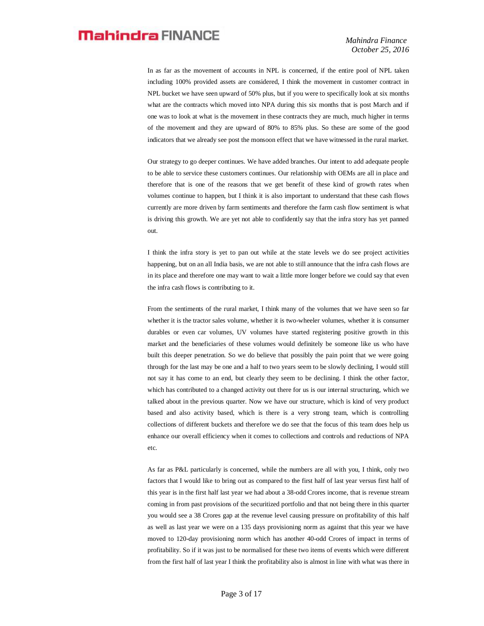In as far as the movement of accounts in NPL is concerned, if the entire pool of NPL taken including 100% provided assets are considered, I think the movement in customer contract in NPL bucket we have seen upward of 50% plus, but if you were to specifically look at six months what are the contracts which moved into NPA during this six months that is post March and if one was to look at what is the movement in these contracts they are much, much higher in terms of the movement and they are upward of 80% to 85% plus. So these are some of the good indicators that we already see post the monsoon effect that we have witnessed in the rural market.

Our strategy to go deeper continues. We have added branches. Our intent to add adequate people to be able to service these customers continues. Our relationship with OEMs are all in place and therefore that is one of the reasons that we get benefit of these kind of growth rates when volumes continue to happen, but I think it is also important to understand that these cash flows currently are more driven by farm sentiments and therefore the farm cash flow sentiment is what is driving this growth. We are yet not able to confidently say that the infra story has yet panned out.

I think the infra story is yet to pan out while at the state levels we do see project activities happening, but on an all India basis, we are not able to still announce that the infra cash flows are in its place and therefore one may want to wait a little more longer before we could say that even the infra cash flows is contributing to it.

From the sentiments of the rural market, I think many of the volumes that we have seen so far whether it is the tractor sales volume, whether it is two-wheeler volumes, whether it is consumer durables or even car volumes, UV volumes have started registering positive growth in this market and the beneficiaries of these volumes would definitely be someone like us who have built this deeper penetration. So we do believe that possibly the pain point that we were going through for the last may be one and a half to two years seem to be slowly declining, I would still not say it has come to an end, but clearly they seem to be declining. I think the other factor, which has contributed to a changed activity out there for us is our internal structuring, which we talked about in the previous quarter. Now we have our structure, which is kind of very product based and also activity based, which is there is a very strong team, which is controlling collections of different buckets and therefore we do see that the focus of this team does help us enhance our overall efficiency when it comes to collections and controls and reductions of NPA etc.

As far as P&L particularly is concerned, while the numbers are all with you, I think, only two factors that I would like to bring out as compared to the first half of last year versus first half of this year is in the first half last year we had about a 38-odd Crores income, that is revenue stream coming in from past provisions of the securitized portfolio and that not being there in this quarter you would see a 38 Crores gap at the revenue level causing pressure on profitability of this half as well as last year we were on a 135 days provisioning norm as against that this year we have moved to 120-day provisioning norm which has another 40-odd Crores of impact in terms of profitability. So if it was just to be normalised for these two items of events which were different from the first half of last year I think the profitability also is almost in line with what was there in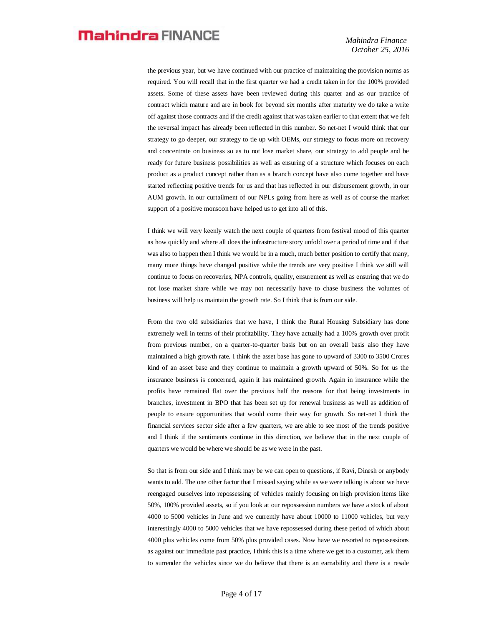the previous year, but we have continued with our practice of maintaining the provision norms as required. You will recall that in the first quarter we had a credit taken in for the 100% provided assets. Some of these assets have been reviewed during this quarter and as our practice of contract which mature and are in book for beyond six months after maturity we do take a write off against those contracts and if the credit against that was taken earlier to that extent that we felt the reversal impact has already been reflected in this number. So net-net I would think that our strategy to go deeper, our strategy to tie up with OEMs, our strategy to focus more on recovery and concentrate on business so as to not lose market share, our strategy to add people and be ready for future business possibilities as well as ensuring of a structure which focuses on each product as a product concept rather than as a branch concept have also come together and have started reflecting positive trends for us and that has reflected in our disbursement growth, in our AUM growth. in our curtailment of our NPLs going from here as well as of course the market support of a positive monsoon have helped us to get into all of this.

I think we will very keenly watch the next couple of quarters from festival mood of this quarter as how quickly and where all does the infrastructure story unfold over a period of time and if that was also to happen then I think we would be in a much, much better position to certify that many, many more things have changed positive while the trends are very positive I think we still will continue to focus on recoveries, NPA controls, quality, ensurement as well as ensuring that we do not lose market share while we may not necessarily have to chase business the volumes of business will help us maintain the growth rate. So I think that is from our side.

From the two old subsidiaries that we have, I think the Rural Housing Subsidiary has done extremely well in terms of their profitability. They have actually had a 100% growth over profit from previous number, on a quarter-to-quarter basis but on an overall basis also they have maintained a high growth rate. I think the asset base has gone to upward of 3300 to 3500 Crores kind of an asset base and they continue to maintain a growth upward of 50%. So for us the insurance business is concerned, again it has maintained growth. Again in insurance while the profits have remained flat over the previous half the reasons for that being investments in branches, investment in BPO that has been set up for renewal business as well as addition of people to ensure opportunities that would come their way for growth. So net-net I think the financial services sector side after a few quarters, we are able to see most of the trends positive and I think if the sentiments continue in this direction, we believe that in the next couple of quarters we would be where we should be as we were in the past.

So that is from our side and I think may be we can open to questions, if Ravi, Dinesh or anybody wants to add. The one other factor that I missed saying while as we were talking is about we have reengaged ourselves into repossessing of vehicles mainly focusing on high provision items like 50%, 100% provided assets, so if you look at our repossession numbers we have a stock of about 4000 to 5000 vehicles in June and we currently have about 10000 to 11000 vehicles, but very interestingly 4000 to 5000 vehicles that we have repossessed during these period of which about 4000 plus vehicles come from 50% plus provided cases. Now have we resorted to repossessions as against our immediate past practice, I think this is a time where we get to a customer, ask them to surrender the vehicles since we do believe that there is an earnability and there is a resale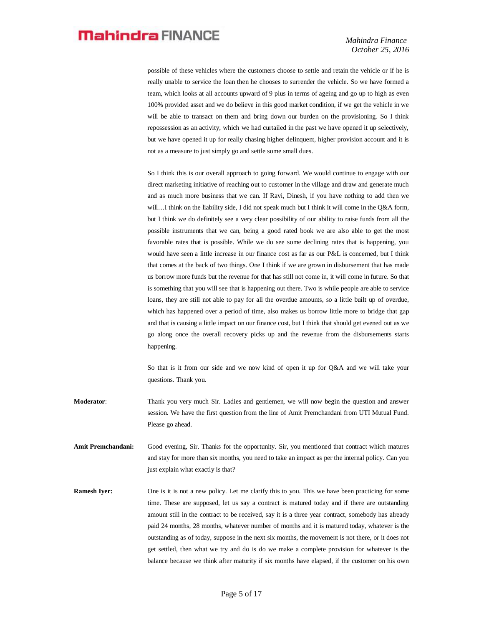possible of these vehicles where the customers choose to settle and retain the vehicle or if he is really unable to service the loan then he chooses to surrender the vehicle. So we have formed a team, which looks at all accounts upward of 9 plus in terms of ageing and go up to high as even 100% provided asset and we do believe in this good market condition, if we get the vehicle in we will be able to transact on them and bring down our burden on the provisioning. So I think repossession as an activity, which we had curtailed in the past we have opened it up selectively, but we have opened it up for really chasing higher delinquent, higher provision account and it is not as a measure to just simply go and settle some small dues.

So I think this is our overall approach to going forward. We would continue to engage with our direct marketing initiative of reaching out to customer in the village and draw and generate much and as much more business that we can. If Ravi, Dinesh, if you have nothing to add then we will…I think on the liability side, I did not speak much but I think it will come in the Q&A form, but I think we do definitely see a very clear possibility of our ability to raise funds from all the possible instruments that we can, being a good rated book we are also able to get the most favorable rates that is possible. While we do see some declining rates that is happening, you would have seen a little increase in our finance cost as far as our P&L is concerned, but I think that comes at the back of two things. One I think if we are grown in disbursement that has made us borrow more funds but the revenue for that has still not come in, it will come in future. So that is something that you will see that is happening out there. Two is while people are able to service loans, they are still not able to pay for all the overdue amounts, so a little built up of overdue, which has happened over a period of time, also makes us borrow little more to bridge that gap and that is causing a little impact on our finance cost, but I think that should get evened out as we go along once the overall recovery picks up and the revenue from the disbursements starts happening.

So that is it from our side and we now kind of open it up for O&A and we will take your questions. Thank you.

**Moderator**: Thank you very much Sir. Ladies and gentlemen, we will now begin the question and answer session. We have the first question from the line of Amit Premchandani from UTI Mutual Fund. Please go ahead.

- **Amit Premchandani:** Good evening, Sir. Thanks for the opportunity. Sir, you mentioned that contract which matures and stay for more than six months, you need to take an impact as per the internal policy. Can you just explain what exactly is that?
- **Ramesh Iyer:** One is it is not a new policy. Let me clarify this to you. This we have been practicing for some time. These are supposed, let us say a contract is matured today and if there are outstanding amount still in the contract to be received, say it is a three year contract, somebody has already paid 24 months, 28 months, whatever number of months and it is matured today, whatever is the outstanding as of today, suppose in the next six months, the movement is not there, or it does not get settled, then what we try and do is do we make a complete provision for whatever is the balance because we think after maturity if six months have elapsed, if the customer on his own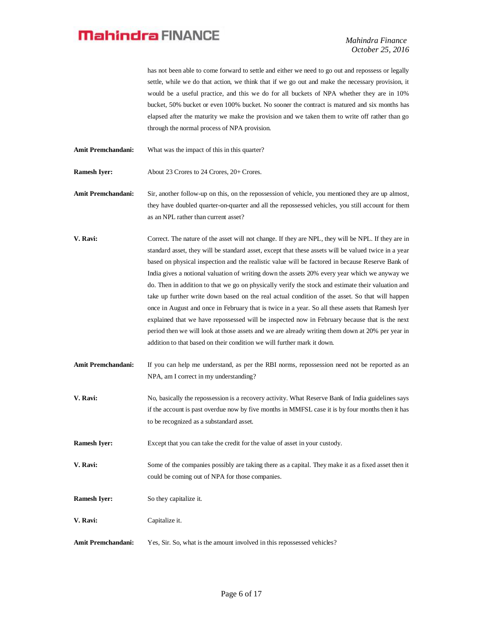*Mahindra Finance October 25, 2016*

has not been able to come forward to settle and either we need to go out and repossess or legally settle, while we do that action, we think that if we go out and make the necessary provision, it would be a useful practice, and this we do for all buckets of NPA whether they are in 10% bucket, 50% bucket or even 100% bucket. No sooner the contract is matured and six months has elapsed after the maturity we make the provision and we taken them to write off rather than go through the normal process of NPA provision.

Amit Premchandani: What was the impact of this in this quarter?

**Ramesh Iyer:** About 23 Crores to 24 Crores, 20+ Crores.

**Amit Premchandani:** Sir, another follow-up on this, on the repossession of vehicle, you mentioned they are up almost, they have doubled quarter-on-quarter and all the repossessed vehicles, you still account for them as an NPL rather than current asset?

**V. Ravi:** Correct. The nature of the asset will not change. If they are NPL, they will be NPL. If they are in standard asset, they will be standard asset, except that these assets will be valued twice in a year based on physical inspection and the realistic value will be factored in because Reserve Bank of India gives a notional valuation of writing down the assets 20% every year which we anyway we do. Then in addition to that we go on physically verify the stock and estimate their valuation and take up further write down based on the real actual condition of the asset. So that will happen once in August and once in February that is twice in a year. So all these assets that Ramesh Iyer explained that we have repossessed will be inspected now in February because that is the next period then we will look at those assets and we are already writing them down at 20% per year in addition to that based on their condition we will further mark it down.

- Amit Premchandani: If you can help me understand, as per the RBI norms, repossession need not be reported as an NPA, am I correct in my understanding?
- **V. Ravi:** No, basically the repossession is a recovery activity. What Reserve Bank of India guidelines says if the account is past overdue now by five months in MMFSL case it is by four months then it has to be recognized as a substandard asset.

**Ramesh Iyer:** Except that you can take the credit for the value of asset in your custody.

- **V. Ravi:** Some of the companies possibly are taking there as a capital. They make it as a fixed asset then it could be coming out of NPA for those companies.
- **Ramesh Iyer:** So they capitalize it.
- **V. Ravi:** Capitalize it.
- Amit Premchandani: Yes, Sir. So, what is the amount involved in this repossessed vehicles?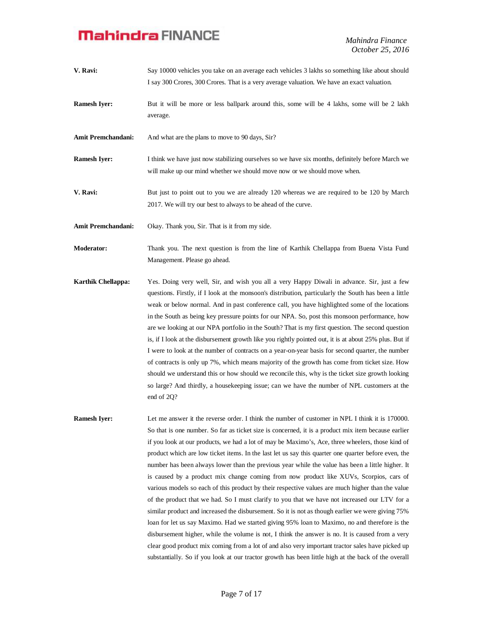*Mahindra Finance October 25, 2016*

- **V. Ravi:** Say 10000 vehicles you take on an average each vehicles 3 lakhs so something like about should I say 300 Crores, 300 Crores. That is a very average valuation. We have an exact valuation.
- **Ramesh Iyer:** But it will be more or less ballpark around this, some will be 4 lakhs, some will be 2 lakh average.

Amit Premchandani: And what are the plans to move to 90 days, Sir?

**Ramesh Iver:** I think we have just now stabilizing ourselves so we have six months, definitely before March we will make up our mind whether we should move now or we should move when.

**V. Ravi:** But just to point out to you we are already 120 whereas we are required to be 120 by March 2017. We will try our best to always to be ahead of the curve.

**Amit Premchandani:** Okay. Thank you, Sir. That is it from my side.

**Moderator:** Thank you. The next question is from the line of Karthik Chellappa from Buena Vista Fund Management. Please go ahead.

**Karthik Chellappa:** Yes. Doing very well, Sir, and wish you all a very Happy Diwali in advance. Sir, just a few questions. Firstly, if I look at the monsoon's distribution, particularly the South has been a little weak or below normal. And in past conference call, you have highlighted some of the locations in the South as being key pressure points for our NPA. So, post this monsoon performance, how are we looking at our NPA portfolio in the South? That is my first question. The second question is, if I look at the disbursement growth like you rightly pointed out, it is at about 25% plus. But if I were to look at the number of contracts on a year-on-year basis for second quarter, the number of contracts is only up 7%, which means majority of the growth has come from ticket size. How should we understand this or how should we reconcile this, why is the ticket size growth looking so large? And thirdly, a housekeeping issue; can we have the number of NPL customers at the end of 2Q?

**Ramesh Iyer:** Let me answer it the reverse order. I think the number of customer in NPL I think it is 170000. So that is one number. So far as ticket size is concerned, it is a product mix item because earlier if you look at our products, we had a lot of may be Maximo's, Ace, three wheelers, those kind of product which are low ticket items. In the last let us say this quarter one quarter before even, the number has been always lower than the previous year while the value has been a little higher. It is caused by a product mix change coming from now product like XUVs, Scorpios, cars of various models so each of this product by their respective values are much higher than the value of the product that we had. So I must clarify to you that we have not increased our LTV for a similar product and increased the disbursement. So it is not as though earlier we were giving 75% loan for let us say Maximo. Had we started giving 95% loan to Maximo, no and therefore is the disbursement higher, while the volume is not, I think the answer is no. It is caused from a very clear good product mix coming from a lot of and also very important tractor sales have picked up substantially. So if you look at our tractor growth has been little high at the back of the overall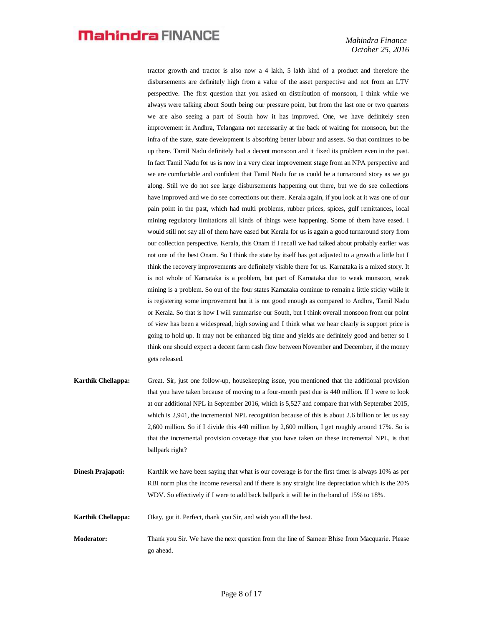tractor growth and tractor is also now a 4 lakh, 5 lakh kind of a product and therefore the disbursements are definitely high from a value of the asset perspective and not from an LTV perspective. The first question that you asked on distribution of monsoon, I think while we always were talking about South being our pressure point, but from the last one or two quarters we are also seeing a part of South how it has improved. One, we have definitely seen improvement in Andhra, Telangana not necessarily at the back of waiting for monsoon, but the infra of the state, state development is absorbing better labour and assets. So that continues to be up there. Tamil Nadu definitely had a decent monsoon and it fixed its problem even in the past. In fact Tamil Nadu for us is now in a very clear improvement stage from an NPA perspective and we are comfortable and confident that Tamil Nadu for us could be a turnaround story as we go along. Still we do not see large disbursements happening out there, but we do see collections have improved and we do see corrections out there. Kerala again, if you look at it was one of our pain point in the past, which had multi problems, rubber prices, spices, gulf remittances, local mining regulatory limitations all kinds of things were happening. Some of them have eased. I would still not say all of them have eased but Kerala for us is again a good turnaround story from our collection perspective. Kerala, this Onam if I recall we had talked about probably earlier was not one of the best Onam. So I think the state by itself has got adjusted to a growth a little but I think the recovery improvements are definitely visible there for us. Karnataka is a mixed story. It is not whole of Karnataka is a problem, but part of Karnataka due to weak monsoon, weak mining is a problem. So out of the four states Karnataka continue to remain a little sticky while it is registering some improvement but it is not good enough as compared to Andhra, Tamil Nadu or Kerala. So that is how I will summarise our South, but I think overall monsoon from our point of view has been a widespread, high sowing and I think what we hear clearly is support price is going to hold up. It may not be enhanced big time and yields are definitely good and better so I think one should expect a decent farm cash flow between November and December, if the money gets released.

- **Karthik Chellappa:** Great. Sir, just one follow-up, housekeeping issue, you mentioned that the additional provision that you have taken because of moving to a four-month past due is 440 million. If I were to look at our additional NPL in September 2016, which is 5,527 and compare that with September 2015, which is 2,941, the incremental NPL recognition because of this is about 2.6 billion or let us say 2,600 million. So if I divide this 440 million by 2,600 million, I get roughly around 17%. So is that the incremental provision coverage that you have taken on these incremental NPL, is that ballpark right?
- **Dinesh Prajapati:** Karthik we have been saying that what is our coverage is for the first timer is always 10% as per RBI norm plus the income reversal and if there is any straight line depreciation which is the 20% WDV. So effectively if I were to add back ballpark it will be in the band of 15% to 18%.

**Karthik Chellappa:** Okay, got it. Perfect, thank you Sir, and wish you all the best.

**Moderator:** Thank you Sir. We have the next question from the line of Sameer Bhise from Macquarie. Please go ahead.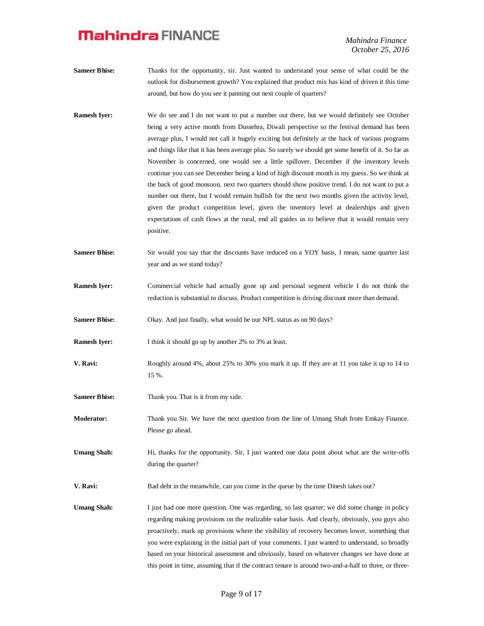*Mahindra Finance October 25, 2016*

- **Sameer Bhise:** Thanks for the opportunity, sir. Just wanted to understand your sense of what could be the outlook for disbursement growth? You explained that product mix has kind of driven it this time around, but how do you see it panning out next couple of quarters?
- **Ramesh Iyer:** We do see and I do not want to put a number out there, but we would definitely see October being a very active month from Dussehra, Diwali perspective so the festival demand has been average plus, I would not call it hugely exciting but definitely at the back of various programs and things like that it has been average plus. So surely we should get some benefit of it. So far as November is concerned, one would see a little spillover. December if the inventory levels continue you can see December being a kind of high discount month is my guess. So we think at the back of good monsoon. next two quarters should show positive trend. I do not want to put a number out there, but I would remain bullish for the next two months given the activity level, given the product competition level, given the inventory level at dealerships and given expectations of cash flows at the rural, end all guides us to believe that it would remain very positive.
- **Sameer Bhise:** Sir would you say that the discounts have reduced on a YOY basis, I mean, same quarter last year and as we stand today?
- **Ramesh Iyer:** Commercial vehicle had actually gone up and personal segment vehicle I do not think the reduction is substantial to discuss. Product competition is driving discount more than demand.
- **Sameer Bhise:** Okay. And just finally, what would be our NPL status as on 90 days?
- **Ramesh Iyer:** I think it should go up by another 2% to 3% at least.
- **V. Ravi:** Roughly around 4%, about 25% to 30% you mark it up. If they are at 11 you take it up to 14 to 15 %.
- **Sameer Bhise:** Thank you. That is it from my side.
- **Moderator:** Thank you Sir. We have the next question from the line of Umang Shah from Emkay Finance. Please go ahead.
- Umang Shah: Hi, thanks for the opportunity. Sir, I just wanted one data point about what are the write-offs during the quarter?
- **V. Ravi:** Bad debt in the meanwhile, can you come in the queue by the time Dinesh takes out?
- Umang Shah: I just had one more question. One was regarding, so last quarter; we did some change in policy regarding making provisions on the realizable value basis. And clearly, obviously, you guys also proactively, mark up provisions where the visibility of recovery becomes lower, something that you were explaining in the initial part of your comments. I just wanted to understand, so broadly based on your historical assessment and obviously, based on whatever changes we have done at this point in time, assuming that if the contract tenure is around two-and-a-half to three, or three-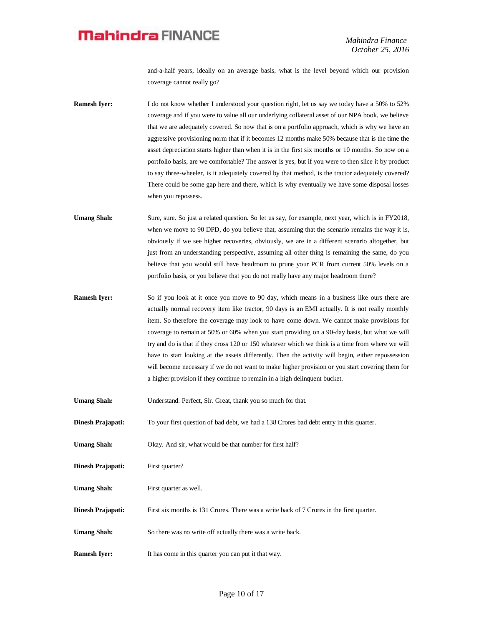and-a-half years, ideally on an average basis, what is the level beyond which our provision coverage cannot really go?

**Ramesh Iyer:** I do not know whether I understood your question right, let us say we today have a 50% to 52% coverage and if you were to value all our underlying collateral asset of our NPA book, we believe that we are adequately covered. So now that is on a portfolio approach, which is why we have an aggressive provisioning norm that if it becomes 12 months make 50% because that is the time the asset depreciation starts higher than when it is in the first six months or 10 months. So now on a portfolio basis, are we comfortable? The answer is yes, but if you were to then slice it by product to say three-wheeler, is it adequately covered by that method, is the tractor adequately covered? There could be some gap here and there, which is why eventually we have some disposal losses when you repossess.

Umang Shah: Sure, sure. So just a related question. So let us say, for example, next year, which is in FY2018, when we move to 90 DPD, do you believe that, assuming that the scenario remains the way it is, obviously if we see higher recoveries, obviously, we are in a different scenario altogether, but just from an understanding perspective, assuming all other thing is remaining the same, do you believe that you would still have headroom to prune your PCR from current 50% levels on a portfolio basis, or you believe that you do not really have any major headroom there?

**Ramesh Iyer:** So if you look at it once you move to 90 day, which means in a business like ours there are actually normal recovery item like tractor, 90 days is an EMI actually. It is not really monthly item. So therefore the coverage may look to have come down. We cannot make provisions for coverage to remain at 50% or 60% when you start providing on a 90-day basis, but what we will try and do is that if they cross 120 or 150 whatever which we think is a time from where we will have to start looking at the assets differently. Then the activity will begin, either repossession will become necessary if we do not want to make higher provision or you start covering them for a higher provision if they continue to remain in a high delinquent bucket.

**Umang Shah:** Understand. Perfect, Sir. Great, thank you so much for that.

**Dinesh Prajapati:** To your first question of bad debt, we had a 138 Crores bad debt entry in this quarter.

Umang Shah: Okay. And sir, what would be that number for first half?

**Dinesh Prajapati:** First quarter?

**Umang Shah:** First quarter as well.

**Dinesh Prajapati:** First six months is 131 Crores. There was a write back of 7 Crores in the first quarter.

Umang Shah: So there was no write off actually there was a write back.

**Ramesh Iyer:** It has come in this quarter you can put it that way.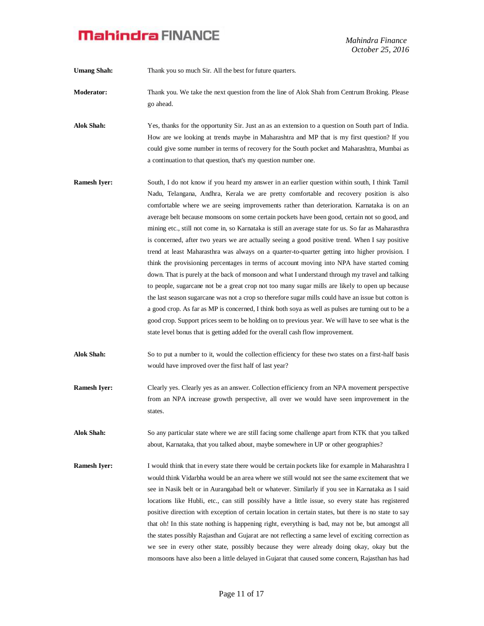*Mahindra Finance October 25, 2016*

Umang Shah: Thank you so much Sir. All the best for future quarters.

- **Moderator:** Thank you. We take the next question from the line of Alok Shah from Centrum Broking. Please go ahead.
- **Alok Shah:** Yes, thanks for the opportunity Sir. Just an as an extension to a question on South part of India. How are we looking at trends maybe in Maharashtra and MP that is my first question? If you could give some number in terms of recovery for the South pocket and Maharashtra, Mumbai as a continuation to that question, that's my question number one.
- **Ramesh Iyer:** South, I do not know if you heard my answer in an earlier question within south, I think Tamil Nadu, Telangana, Andhra, Kerala we are pretty comfortable and recovery position is also comfortable where we are seeing improvements rather than deterioration. Karnataka is on an average belt because monsoons on some certain pockets have been good, certain not so good, and mining etc., still not come in, so Karnataka is still an average state for us. So far as Maharasthra is concerned, after two years we are actually seeing a good positive trend. When I say positive trend at least Maharasthra was always on a quarter-to-quarter getting into higher provision. I think the provisioning percentages in terms of account moving into NPA have started coming down. That is purely at the back of monsoon and what I understand through my travel and talking to people, sugarcane not be a great crop not too many sugar mills are likely to open up because the last season sugarcane was not a crop so therefore sugar mills could have an issue but cotton is a good crop. As far as MP is concerned, I think both soya as well as pulses are turning out to be a good crop. Support prices seem to be holding on to previous year. We will have to see what is the state level bonus that is getting added for the overall cash flow improvement.
- **Alok Shah:** So to put a number to it, would the collection efficiency for these two states on a first-half basis would have improved over the first half of last year?
- **Ramesh Iyer:** Clearly yes. Clearly yes as an answer. Collection efficiency from an NPA movement perspective from an NPA increase growth perspective, all over we would have seen improvement in the states.

**Alok Shah:** So any particular state where we are still facing some challenge apart from KTK that you talked about, Karnataka, that you talked about, maybe somewhere in UP or other geographies?

**Ramesh Iyer:** I would think that in every state there would be certain pockets like for example in Maharashtra I would think Vidarbha would be an area where we still would not see the same excitement that we see in Nasik belt or in Aurangabad belt or whatever. Similarly if you see in Karnataka as I said locations like Hubli, etc., can still possibly have a little issue, so every state has registered positive direction with exception of certain location in certain states, but there is no state to say that oh! In this state nothing is happening right, everything is bad, may not be, but amongst all the states possibly Rajasthan and Gujarat are not reflecting a same level of exciting correction as we see in every other state, possibly because they were already doing okay, okay but the monsoons have also been a little delayed in Gujarat that caused some concern, Rajasthan has had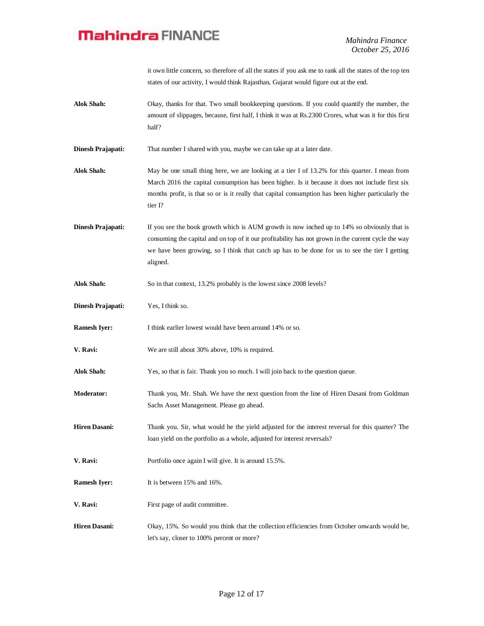it own little concern, so therefore of all the states if you ask me to rank all the states of the top ten states of our activity, I would think Rajasthan, Gujarat would figure out at the end.

**Alok Shah:** Okay, thanks for that. Two small bookkeeping questions. If you could quantify the number, the amount of slippages, because, first half, I think it was at Rs.2300 Crores, what was it for this first half?

**Dinesh Prajapati:** That number I shared with you, maybe we can take up at a later date.

**Alok Shah:** May be one small thing here, we are looking at a tier I of 13.2% for this quarter. I mean from March 2016 the capital consumption has been higher. Is it because it does not include first six months profit, is that so or is it really that capital consumption has been higher particularly the tier I?

**Dinesh Prajapati:** If you see the book growth which is AUM growth is now inched up to 14% so obviously that is consuming the capital and on top of it our profitability has not grown in the current cycle the way we have been growing, so I think that catch up has to be done for us to see the tier I getting aligned.

- Alok Shah: So in that context, 13.2% probably is the lowest since 2008 levels?
- **Dinesh Prajapati:** Yes, I think so.
- **Ramesh Iyer:** I think earlier lowest would have been around 14% or so.
- **V. Ravi:** We are still about 30% above, 10% is required.

**Alok Shah:** Yes, so that is fair. Thank you so much. I will join back to the question queue.

- **Moderator:** Thank you, Mr. Shah. We have the next question from the line of Hiren Dasani from Goldman Sachs Asset Management. Please go ahead.
- **Hiren Dasani:** Thank you. Sir, what would be the yield adjusted for the interest reversal for this quarter? The loan yield on the portfolio as a whole, adjusted for interest reversals?
- **V. Ravi:** Portfolio once again I will give. It is around 15.5%.
- **Ramesh Iyer:** It is between 15% and 16%.
- **V. Ravi:** First page of audit committee.
- **Hiren Dasani:** Okay, 15%. So would you think that the collection efficiencies from October onwards would be, let's say, closer to 100% percent or more?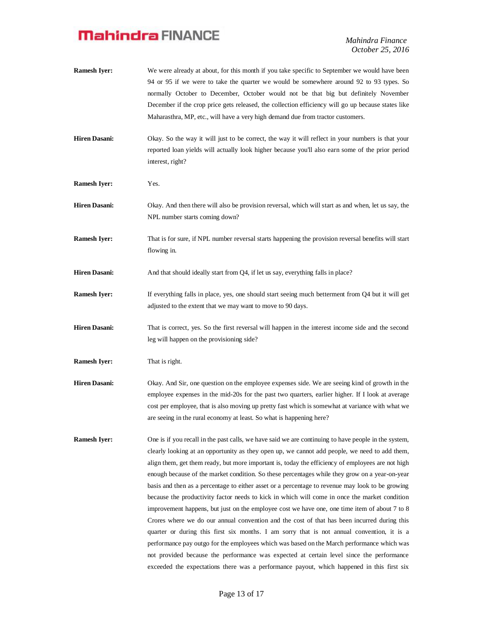*Mahindra Finance October 25, 2016*

- **Ramesh Iyer:** We were already at about, for this month if you take specific to September we would have been 94 or 95 if we were to take the quarter we would be somewhere around 92 to 93 types. So normally October to December, October would not be that big but definitely November December if the crop price gets released, the collection efficiency will go up because states like Maharasthra, MP, etc., will have a very high demand due from tractor customers. **Hiren Dasani:** Okay. So the way it will just to be correct, the way it will reflect in your numbers is that your reported loan yields will actually look higher because you'll also earn some of the prior period interest, right? **Ramesh Iyer:** Yes. **Hiren Dasani:** Okay. And then there will also be provision reversal, which will start as and when, let us say, the NPL number starts coming down? **Ramesh Iyer:** That is for sure, if NPL number reversal starts happening the provision reversal benefits will start flowing in. **Hiren Dasani:** And that should ideally start from Q4, if let us say, everything falls in place? **Ramesh Iyer:** If everything falls in place, yes, one should start seeing much betterment from Q4 but it will get adjusted to the extent that we may want to move to 90 days. **Hiren Dasani:** That is correct, yes. So the first reversal will happen in the interest income side and the second leg will happen on the provisioning side? **Ramesh Iyer:** That is right. **Hiren Dasani:** Okay. And Sir, one question on the employee expenses side. We are seeing kind of growth in the employee expenses in the mid-20s for the past two quarters, earlier higher. If I look at average
- **Ramesh Iyer:** One is if you recall in the past calls, we have said we are continuing to have people in the system, clearly looking at an opportunity as they open up, we cannot add people, we need to add them, align them, get them ready, but more important is, today the efficiency of employees are not high enough because of the market condition. So these percentages while they grow on a year-on-year basis and then as a percentage to either asset or a percentage to revenue may look to be growing because the productivity factor needs to kick in which will come in once the market condition improvement happens, but just on the employee cost we have one, one time item of about 7 to 8 Crores where we do our annual convention and the cost of that has been incurred during this quarter or during this first six months. I am sorry that is not annual convention, it is a performance pay outgo for the employees which was based on the March performance which was not provided because the performance was expected at certain level since the performance exceeded the expectations there was a performance payout, which happened in this first six

are seeing in the rural economy at least. So what is happening here?

cost per employee, that is also moving up pretty fast which is somewhat at variance with what we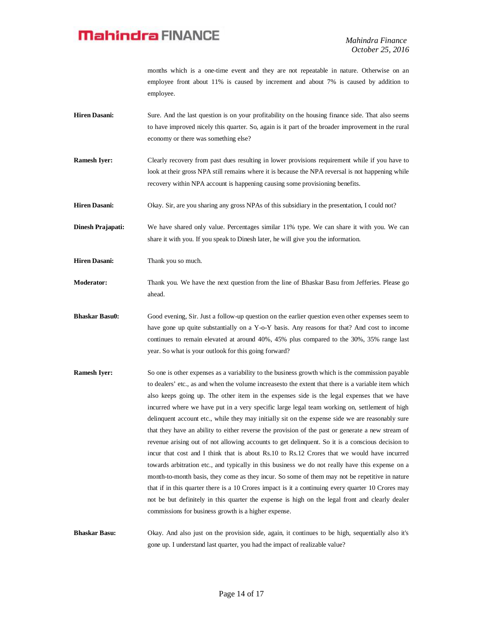months which is a one-time event and they are not repeatable in nature. Otherwise on an employee front about 11% is caused by increment and about 7% is caused by addition to employee.

- **Hiren Dasani:** Sure. And the last question is on your profitability on the housing finance side. That also seems to have improved nicely this quarter. So, again is it part of the broader improvement in the rural economy or there was something else?
- **Ramesh Iyer:** Clearly recovery from past dues resulting in lower provisions requirement while if you have to look at their gross NPA still remains where it is because the NPA reversal is not happening while recovery within NPA account is happening causing some provisioning benefits.
- **Hiren Dasani:** Okay. Sir, are you sharing any gross NPAs of this subsidiary in the presentation, I could not?

**Dinesh Prajapati:** We have shared only value. Percentages similar 11% type. We can share it with you. We can share it with you. If you speak to Dinesh later, he will give you the information.

**Hiren Dasani:** Thank you so much.

- **Moderator:** Thank you. We have the next question from the line of Bhaskar Basu from Jefferies. Please go ahead.
- **Bhaskar Basu0:** Good evening, Sir. Just a follow-up question on the earlier question even other expenses seem to have gone up quite substantially on a Y-o-Y basis. Any reasons for that? And cost to income continues to remain elevated at around 40%, 45% plus compared to the 30%, 35% range last year. So what is your outlook for this going forward?
- **Ramesh Iyer:** So one is other expenses as a variability to the business growth which is the commission payable to dealers' etc., as and when the volume increasesto the extent that there is a variable item which also keeps going up. The other item in the expenses side is the legal expenses that we have incurred where we have put in a very specific large legal team working on, settlement of high delinquent account etc., while they may initially sit on the expense side we are reasonably sure that they have an ability to either reverse the provision of the past or generate a new stream of revenue arising out of not allowing accounts to get delinquent. So it is a conscious decision to incur that cost and I think that is about Rs.10 to Rs.12 Crores that we would have incurred towards arbitration etc., and typically in this business we do not really have this expense on a month-to-month basis, they come as they incur. So some of them may not be repetitive in nature that if in this quarter there is a 10 Crores impact is it a continuing every quarter 10 Crores may not be but definitely in this quarter the expense is high on the legal front and clearly dealer commissions for business growth is a higher expense.

**Bhaskar Basu:** Okay. And also just on the provision side, again, it continues to be high, sequentially also it's gone up. I understand last quarter, you had the impact of realizable value?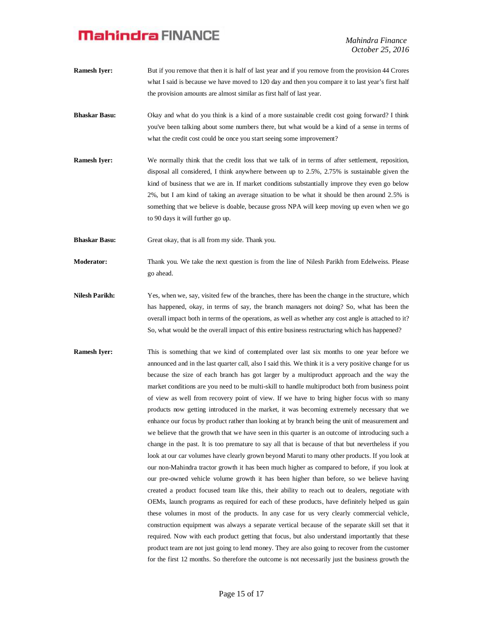*Mahindra Finance October 25, 2016*

- **Ramesh Iyer:** But if you remove that then it is half of last year and if you remove from the provision 44 Crores what I said is because we have moved to 120 day and then you compare it to last year's first half the provision amounts are almost similar as first half of last year.
- **Bhaskar Basu:** Okay and what do you think is a kind of a more sustainable credit cost going forward? I think you've been talking about some numbers there, but what would be a kind of a sense in terms of what the credit cost could be once you start seeing some improvement?
- **Ramesh Iyer:** We normally think that the credit loss that we talk of in terms of after settlement, reposition, disposal all considered, I think anywhere between up to 2.5%, 2.75% is sustainable given the kind of business that we are in. If market conditions substantially improve they even go below 2%, but I am kind of taking an average situation to be what it should be then around 2.5% is something that we believe is doable, because gross NPA will keep moving up even when we go to 90 days it will further go up.
- **Bhaskar Basu:** Great okay, that is all from my side. Thank you.
- **Moderator:** Thank you. We take the next question is from the line of Nilesh Parikh from Edelweiss. Please go ahead.
- **Nilesh Parikh:** Yes, when we, say, visited few of the branches, there has been the change in the structure, which has happened, okay, in terms of say, the branch managers not doing? So, what has been the overall impact both in terms of the operations, as well as whether any cost angle is attached to it? So, what would be the overall impact of this entire business restructuring which has happened?
- **Ramesh Iyer:** This is something that we kind of contemplated over last six months to one year before we announced and in the last quarter call, also I said this. We think it is a very positive change for us because the size of each branch has got larger by a multiproduct approach and the way the market conditions are you need to be multi-skill to handle multiproduct both from business point of view as well from recovery point of view. If we have to bring higher focus with so many products now getting introduced in the market, it was becoming extremely necessary that we enhance our focus by product rather than looking at by branch being the unit of measurement and we believe that the growth that we have seen in this quarter is an outcome of introducing such a change in the past. It is too premature to say all that is because of that but nevertheless if you look at our car volumes have clearly grown beyond Maruti to many other products. If you look at our non-Mahindra tractor growth it has been much higher as compared to before, if you look at our pre-owned vehicle volume growth it has been higher than before, so we believe having created a product focused team like this, their ability to reach out to dealers, negotiate with OEMs, launch programs as required for each of these products, have definitely helped us gain these volumes in most of the products. In any case for us very clearly commercial vehicle, construction equipment was always a separate vertical because of the separate skill set that it required. Now with each product getting that focus, but also understand importantly that these product team are not just going to lend money. They are also going to recover from the customer for the first 12 months. So therefore the outcome is not necessarily just the business growth the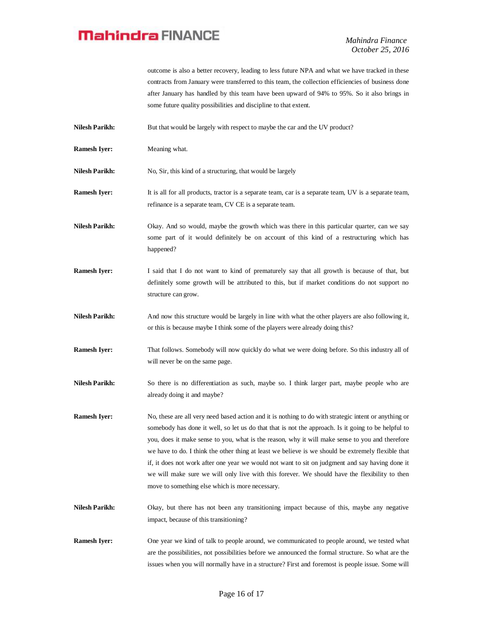*Mahindra Finance October 25, 2016*

outcome is also a better recovery, leading to less future NPA and what we have tracked in these contracts from January were transferred to this team, the collection efficiencies of business done after January has handled by this team have been upward of 94% to 95%. So it also brings in some future quality possibilities and discipline to that extent.

Nilesh Parikh: But that would be largely with respect to maybe the car and the UV product?

- **Ramesh Iyer:** Meaning what.
- **Nilesh Parikh:** No, Sir, this kind of a structuring, that would be largely
- **Ramesh Iyer:** It is all for all products, tractor is a separate team, car is a separate team, UV is a separate team, refinance is a separate team, CV CE is a separate team.

**Nilesh Parikh:** Okay. And so would, maybe the growth which was there in this particular quarter, can we say some part of it would definitely be on account of this kind of a restructuring which has happened?

- **Ramesh Iyer:** I said that I do not want to kind of prematurely say that all growth is because of that, but definitely some growth will be attributed to this, but if market conditions do not support no structure can grow.
- **Nilesh Parikh:** And now this structure would be largely in line with what the other players are also following it, or this is because maybe I think some of the players were already doing this?
- **Ramesh Iyer:** That follows. Somebody will now quickly do what we were doing before. So this industry all of will never be on the same page.
- **Nilesh Parikh:** So there is no differentiation as such, maybe so. I think larger part, maybe people who are already doing it and maybe?
- **Ramesh Iyer:** No, these are all very need based action and it is nothing to do with strategic intent or anything or somebody has done it well, so let us do that that is not the approach. Is it going to be helpful to you, does it make sense to you, what is the reason, why it will make sense to you and therefore we have to do. I think the other thing at least we believe is we should be extremely flexible that if, it does not work after one year we would not want to sit on judgment and say having done it we will make sure we will only live with this forever. We should have the flexibility to then move to something else which is more necessary.
- **Nilesh Parikh:** Okay, but there has not been any transitioning impact because of this, maybe any negative impact, because of this transitioning?
- **Ramesh Iyer:** One year we kind of talk to people around, we communicated to people around, we tested what are the possibilities, not possibilities before we announced the formal structure. So what are the issues when you will normally have in a structure? First and foremost is people issue. Some will